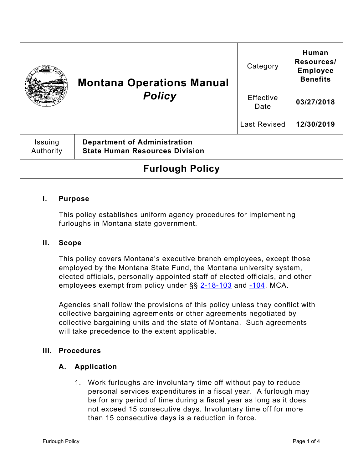|                        | <b>Montana Operations Manual</b><br><b>Policy</b>                            | Category          | Human<br>Resources/<br><b>Employee</b><br><b>Benefits</b> |
|------------------------|------------------------------------------------------------------------------|-------------------|-----------------------------------------------------------|
|                        |                                                                              | Effective<br>Date | 03/27/2018                                                |
|                        |                                                                              | Last Revised      | 12/30/2019                                                |
| Issuing<br>Authority   | <b>Department of Administration</b><br><b>State Human Resources Division</b> |                   |                                                           |
| <b>Furlough Policy</b> |                                                                              |                   |                                                           |

### **I. Purpose**

This policy establishes uniform agency procedures for implementing furloughs in Montana state government.

#### **II. Scope**

This policy covers Montana's executive branch employees, except those employed by the Montana State Fund, the Montana university system, elected officials, personally appointed staff of elected officials, and other employees exempt from policy under §§ [2-18-103](http://leg.mt.gov/bills/mca/title_0020/chapter_0180/part_0010/section_0030/0020-0180-0010-0030.html) and [-104,](http://leg.mt.gov/bills/mca/title_0020/chapter_0180/part_0010/section_0040/0020-0180-0010-0040.html) MCA.

Agencies shall follow the provisions of this policy unless they conflict with collective bargaining agreements or other agreements negotiated by collective bargaining units and the state of Montana. Such agreements will take precedence to the extent applicable.

#### **III. Procedures**

#### **A. Application**

1. Work furloughs are involuntary time off without pay to reduce personal services expenditures in a fiscal year. A furlough may be for any period of time during a fiscal year as long as it does not exceed 15 consecutive days. Involuntary time off for more than 15 consecutive days is a reduction in force.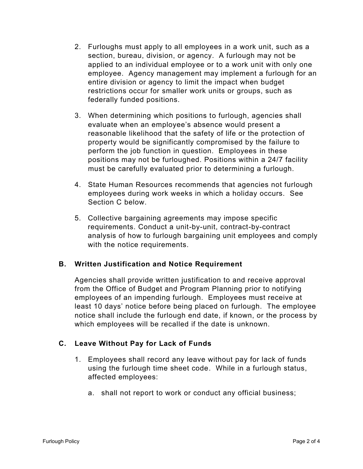- 2. Furloughs must apply to all employees in a work unit, such as a section, bureau, division, or agency. A furlough may not be applied to an individual employee or to a work unit with only one employee. Agency management may implement a furlough for an entire division or agency to limit the impact when budget restrictions occur for smaller work units or groups, such as federally funded positions.
- 3. When determining which positions to furlough, agencies shall evaluate when an employee's absence would present a reasonable likelihood that the safety of life or the protection of property would be significantly compromised by the failure to perform the job function in question. Employees in these positions may not be furloughed. Positions within a 24/7 facility must be carefully evaluated prior to determining a furlough.
- 4. State Human Resources recommends that agencies not furlough employees during work weeks in which a holiday occurs. See Section C below.
- 5. Collective bargaining agreements may impose specific requirements. Conduct a unit-by-unit, contract-by-contract analysis of how to furlough bargaining unit employees and comply with the notice requirements.

### **B. Written Justification and Notice Requirement**

Agencies shall provide written justification to and receive approval from the Office of Budget and Program Planning prior to notifying employees of an impending furlough. Employees must receive at least 10 days' notice before being placed on furlough. The employee notice shall include the furlough end date, if known, or the process by which employees will be recalled if the date is unknown.

# **C. Leave Without Pay for Lack of Funds**

- 1. Employees shall record any leave without pay for lack of funds using the furlough time sheet code. While in a furlough status, affected employees:
	- a. shall not report to work or conduct any official business;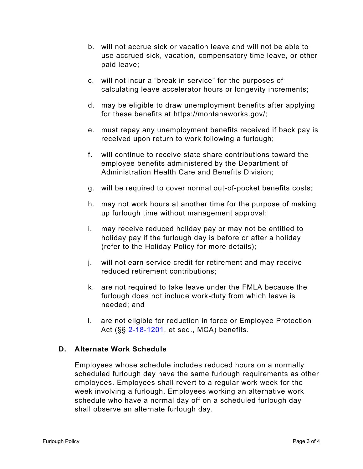- b. will not accrue sick or vacation leave and will not be able to use accrued sick, vacation, compensatory time leave, or other paid leave;
- c. will not incur a "break in service" for the purposes of calculating leave accelerator hours or longevity increments;
- d. may be eligible to draw unemployment benefits after applying for these benefits at [https://montanaworks.gov/;](https://montanaworks.gov/)
- e. must repay any unemployment benefits received if back pay is received upon return to work following a furlough;
- f. will continue to receive state share contributions toward the employee benefits administered by the Department of Administration Health Care and Benefits Division;
- g. will be required to cover normal out-of-pocket benefits costs;
- h. may not work hours at another time for the purpose of making up furlough time without management approval;
- i. may receive reduced holiday pay or may not be entitled to holiday pay if the furlough day is before or after a holiday (refer to the Holiday Policy for more details);
- j. will not earn service credit for retirement and may receive reduced retirement contributions;
- k. are not required to take leave under the FMLA because the furlough does not include work-duty from which leave is needed; and
- l. are not eligible for reduction in force or Employee Protection Act (§§ [2-18-1201,](http://leg.mt.gov/bills/mca/title_0020/chapter_0180/part_0120/section_0010/0020-0180-0120-0010.html) et seq., MCA) benefits.

### **D. Alternate Work Schedule**

Employees whose schedule includes reduced hours on a normally scheduled furlough day have the same furlough requirements as other employees. Employees shall revert to a regular work week for the week involving a furlough. Employees working an alternative work schedule who have a normal day off on a scheduled furlough day shall observe an alternate furlough day.